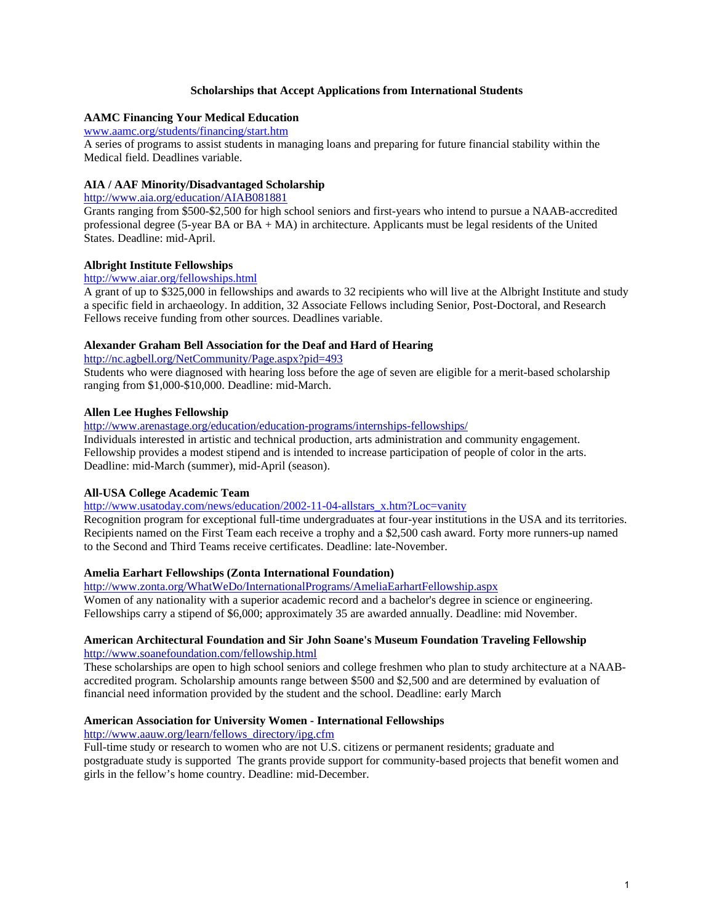## **Scholarships that Accept Applications from International Students**

# **AAMC Financing Your Medical Education**

## [www.aamc.org/students/financing/start.htm](http://www.aamc.org/students/financing/start.htm)

A series of programs to assist students in managing loans and preparing for future financial stability within the Medical field. Deadlines variable.

## **AIA / AAF Minority/Disadvantaged Scholarship**

<http://www.aia.org/education/AIAB081881>

Grants ranging from \$500-\$2,500 for high school seniors and first-years who intend to pursue a NAAB-accredited professional degree (5-year BA or BA + MA) in architecture. Applicants must be legal residents of the United States. Deadline: mid-April.

## **Albright Institute Fellowships**

### <http://www.aiar.org/fellowships.html>

A grant of up to \$325,000 in fellowships and awards to 32 recipients who will live at the Albright Institute and study a specific field in archaeology. In addition, 32 Associate Fellows including Senior, Post-Doctoral, and Research Fellows receive funding from other sources. Deadlines variable.

## **Alexander Graham Bell Association for the Deaf and Hard of Hearing**

<http://nc.agbell.org/NetCommunity/Page.aspx?pid=493>

Students who were diagnosed with hearing loss before the age of seven are eligible for a merit-based scholarship ranging from \$1,000-\$10,000. Deadline: mid-March.

## **Allen Lee Hughes Fellowship**

<http://www.arenastage.org/education/education-programs/internships-fellowships/>

Individuals interested in artistic and technical production, arts administration and community engagement. Fellowship provides a modest stipend and is intended to increase participation of people of color in the arts. Deadline: mid-March (summer), mid-April (season).

## **All-USA College Academic Team**

[http://www.usatoday.com/news/education/2002-11-04-allstars\\_x.htm?Loc=vanity](http://www.usatoday.com/news/education/2002-11-04-allstars_x.htm?Loc=vanity)

Recognition program for exceptional full-time undergraduates at four-year institutions in the USA and its territories. Recipients named on the First Team each receive a trophy and a \$2,500 cash award. Forty more runners-up named to the Second and Third Teams receive certificates. Deadline: late-November.

### **Amelia Earhart Fellowships (Zonta International Foundation)**

<http://www.zonta.org/WhatWeDo/InternationalPrograms/AmeliaEarhartFellowship.aspx>

Women of any nationality with a superior academic record and a bachelor's degree in science or engineering. Fellowships carry a stipend of \$6,000; approximately 35 are awarded annually. Deadline: mid November.

### **American Architectural Foundation and Sir John Soane's Museum Foundation Traveling Fellowship**  <http://www.soanefoundation.com/fellowship.html>

These scholarships are open to high school seniors and college freshmen who plan to study architecture at a NAABaccredited program. Scholarship amounts range between \$500 and \$2,500 and are determined by evaluation of financial need information provided by the student and the school. Deadline: early March

### **American Association for University Women - International Fellowships**

[http://www.aauw.org/learn/fellows\\_directory/ipg.cfm](http://www.aauw.org/learn/fellows_directory/ipg.cfm)

Full-time study or research to women who are not U.S. citizens or permanent residents; graduate and postgraduate study is supported The grants provide support for community-based projects that benefit women and girls in the fellow's home country. Deadline: mid-December.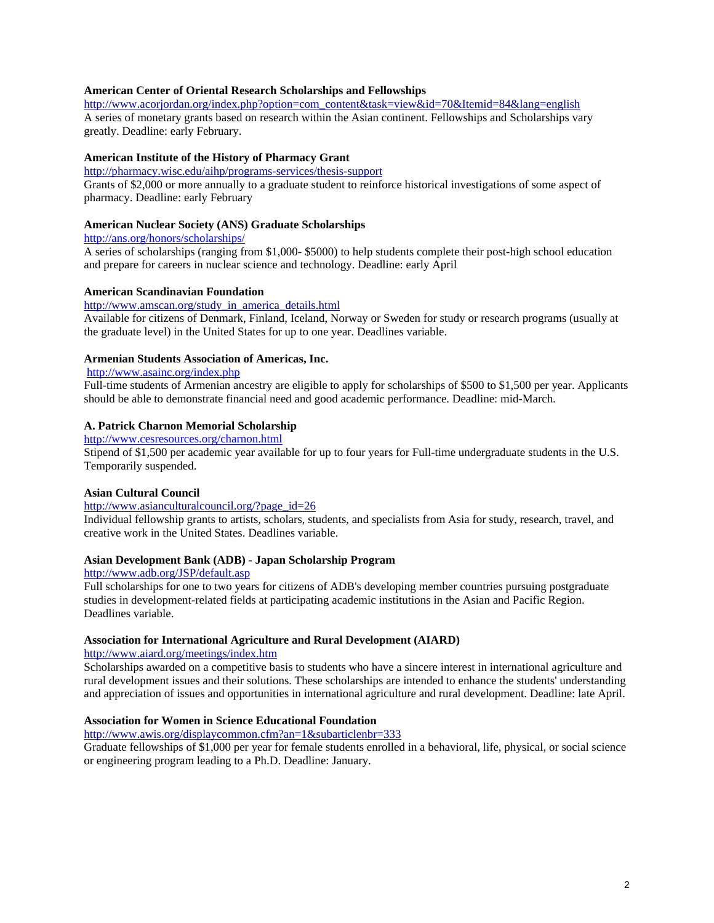### **American Center of Oriental Research Scholarships and Fellowships**

[http://www.acorjordan.org/index.php?option=com\\_content&task=view&id=70&Itemid=84&lang=english](http://www.acorjordan.org/index.php?option=com_content&task=view&id=70&Itemid=84&lang=english) A series of monetary grants based on research within the Asian continent. Fellowships and Scholarships vary greatly. Deadline: early February.

## **American Institute of the History of Pharmacy Grant**

### <http://pharmacy.wisc.edu/aihp/programs-services/thesis-support>

Grants of \$2,000 or more annually to a graduate student to reinforce historical investigations of some aspect of pharmacy. Deadline: early February

### **American Nuclear Society (ANS) Graduate Scholarships**

<http://ans.org/honors/scholarships/>

A series of scholarships (ranging from \$1,000- \$5000) to help students complete their post-high school education and prepare for careers in nuclear science and technology. Deadline: early April

### **American Scandinavian Foundation**

[http://www.amscan.org/study\\_in\\_america\\_details.html](http://www.amscan.org/study_in_america_details.html)

Available for citizens of Denmark, Finland, Iceland, Norway or Sweden for study or research programs (usually at the graduate level) in the United States for up to one year. Deadlines variable.

## **Armenian Students Association of Americas, Inc.**

## <http://www.asainc.org/index.php>

Full-time students of Armenian ancestry are eligible to apply for scholarships of \$500 to \$1,500 per year. Applicants should be able to demonstrate financial need and good academic performance. Deadline: mid-March.

# **A. Patrick Charnon Memorial Scholarship**

<http://www.cesresources.org/charnon.html>

Stipend of \$1,500 per academic year available for up to four years for Full-time undergraduate students in the U.S. Temporarily suspended.

### **Asian Cultural Council**

### [http://www.asianculturalcouncil.org/?page\\_id=26](http://www.asianculturalcouncil.org/?page_id=26)

Individual fellowship grants to artists, scholars, students, and specialists from Asia for study, research, travel, and creative work in the United States. Deadlines variable.

### **Asian Development Bank (ADB) - Japan Scholarship Program**

## <http://www.adb.org/JSP/default.asp>

Full scholarships for one to two years for citizens of ADB's developing member countries pursuing postgraduate studies in development-related fields at participating academic institutions in the Asian and Pacific Region. Deadlines variable.

### **Association for International Agriculture and Rural Development (AIARD)**

<http://www.aiard.org/meetings/index.htm>

Scholarships awarded on a competitive basis to students who have a sincere interest in international agriculture and rural development issues and their solutions. These scholarships are intended to enhance the students' understanding and appreciation of issues and opportunities in international agriculture and rural development. Deadline: late April.

## **Association for Women in Science Educational Foundation**

<http://www.awis.org/displaycommon.cfm?an=1&subarticlenbr=333>

Graduate fellowships of \$1,000 per year for female students enrolled in a behavioral, life, physical, or social science or engineering program leading to a Ph.D. Deadline: January.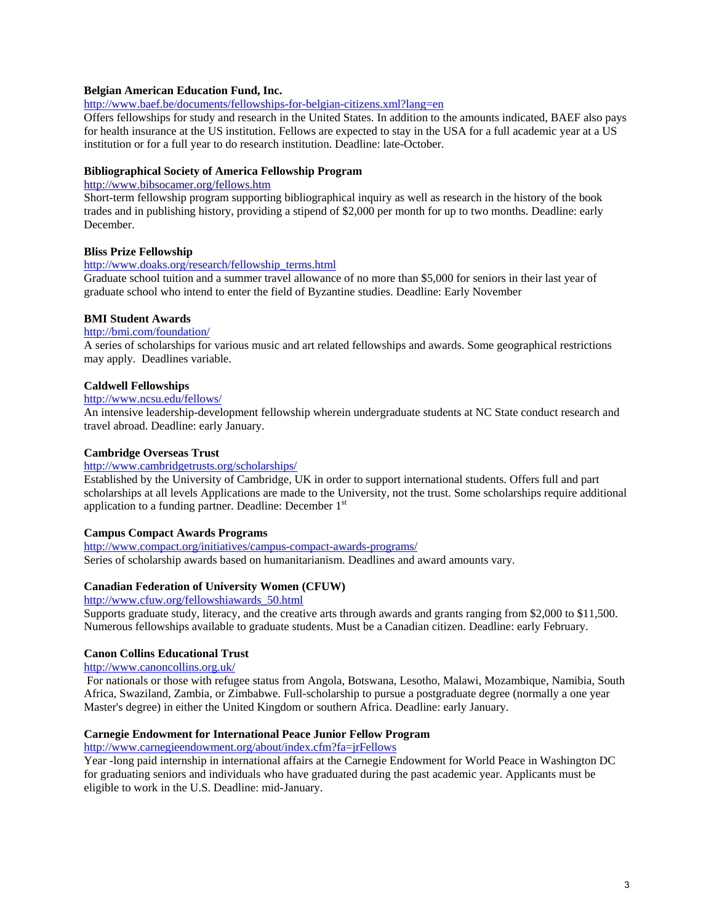### **Belgian American Education Fund, Inc.**

<http://www.baef.be/documents/fellowships-for-belgian-citizens.xml?lang=en>

Offers fellowships for study and research in the United States. In addition to the amounts indicated, BAEF also pays for health insurance at the US institution. Fellows are expected to stay in the USA for a full academic year at a US institution or for a full year to do research institution. Deadline: late-October.

### **Bibliographical Society of America Fellowship Program**

# <http://www.bibsocamer.org/fellows.htm>

Short-term fellowship program supporting bibliographical inquiry as well as research in the history of the book trades and in publishing history, providing a stipend of \$2,000 per month for up to two months. Deadline: early December.

## **Bliss Prize Fellowship**

### [http://www.doaks.org/research/fellowship\\_terms.html](http://www.doaks.org/research/fellowship_terms.html)

Graduate school tuition and a summer travel allowance of no more than \$5,000 for seniors in their last year of graduate school who intend to enter the field of Byzantine studies. Deadline: Early November

### **BMI Student Awards**

### <http://bmi.com/foundation/>

A series of scholarships for various music and art related fellowships and awards. Some geographical restrictions may apply. Deadlines variable.

### **Caldwell Fellowships**

### <http://www.ncsu.edu/fellows/>

An intensive leadership-development fellowship wherein undergraduate students at NC State conduct research and travel abroad. Deadline: early January.

### **Cambridge Overseas Trust**

### http://www.cambridgetrusts.org/scholarships/

Established by the University of Cambridge, UK in order to support international students. Offers full and part scholarships at all levels Applications are made to the University, not the trust. Some scholarships require additional application to a funding partner. Deadline: December  $1<sup>st</sup>$ 

## **Campus Compact Awards Programs**

<http://www.compact.org/initiatives/campus-compact-awards-programs/> Series of scholarship awards based on humanitarianism. Deadlines and award amounts vary.

## **Canadian Federation of University Women (CFUW)**

[http://www.cfuw.org/fellowshiawards\\_50.html](http://www.cfuw.org/fellowshiawards_50.html)

Supports graduate study, literacy, and the creative arts through awards and grants ranging from \$2,000 to \$11,500. Numerous fellowships available to graduate students. Must be a Canadian citizen. Deadline: early February.

## **Canon Collins Educational Trust**

<http://www.canoncollins.org.uk/>

 For nationals or those with refugee status from Angola, Botswana, Lesotho, Malawi, Mozambique, Namibia, South Africa, Swaziland, Zambia, or Zimbabwe. Full-scholarship to pursue a postgraduate degree (normally a one year Master's degree) in either the United Kingdom or southern Africa. Deadline: early January.

## **Carnegie Endowment for International Peace Junior Fellow Program**

<http://www.carnegieendowment.org/about/index.cfm?fa=jrFellows>

Year -long paid internship in international affairs at the Carnegie Endowment for World Peace in Washington DC for graduating seniors and individuals who have graduated during the past academic year. Applicants must be eligible to work in the U.S. Deadline: mid-January.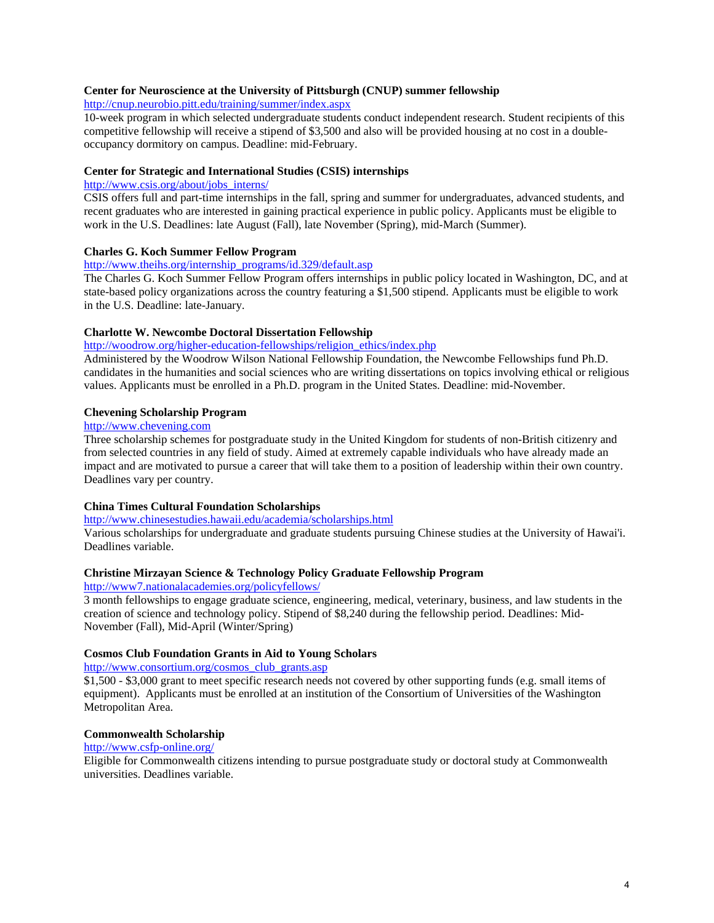## **Center for Neuroscience at the University of Pittsburgh (CNUP) summer fellowship**

<http://cnup.neurobio.pitt.edu/training/summer/index.aspx>

10-week program in which selected undergraduate students conduct independent research. Student recipients of this competitive fellowship will receive a stipend of \$3,500 and also will be provided housing at no cost in a doubleoccupancy dormitory on campus. Deadline: mid-February.

## **Center for Strategic and International Studies (CSIS) internships**

### [http://www.csis.org/about/jobs\\_interns/](http://www.csis.org/about/jobs_interns/)

CSIS offers full and part-time internships in the fall, spring and summer for undergraduates, advanced students, and recent graduates who are interested in gaining practical experience in public policy. Applicants must be eligible to work in the U.S. Deadlines: late August (Fall), late November (Spring), mid-March (Summer).

## **Charles G. Koch Summer Fellow Program**

### [http://www.theihs.org/internship\\_programs/id.329/default.asp](http://www.theihs.org/internship_programs/id.329/default.asp)

The Charles G. Koch Summer Fellow Program offers internships in public policy located in Washington, DC, and at state-based policy organizations across the country featuring a \$1,500 stipend. Applicants must be eligible to work in the U.S. Deadline: late-January.

## **Charlotte W. Newcombe Doctoral Dissertation Fellowship**

# [http://woodrow.org/higher-education-fellowships/religion\\_ethics/index.php](http://woodrow.org/higher-education-fellowships/religion_ethics/index.php)

Administered by the Woodrow Wilson National Fellowship Foundation, the Newcombe Fellowships fund Ph.D. candidates in the humanities and social sciences who are writing dissertations on topics involving ethical or religious values. Applicants must be enrolled in a Ph.D. program in the United States. Deadline: mid-November.

## **Chevening Scholarship Program**

# [http://www.chevening.com](http://www.chevening.com/)

Three scholarship schemes for postgraduate study in the United Kingdom for students of non-British citizenry and from selected countries in any field of study. Aimed at extremely capable individuals who have already made an impact and are motivated to pursue a career that will take them to a position of leadership within their own country. Deadlines vary per country.

## **China Times Cultural Foundation Scholarships**

### <http://www.chinesestudies.hawaii.edu/academia/scholarships.html>

Various scholarships for undergraduate and graduate students pursuing Chinese studies at the University of Hawai'i. Deadlines variable.

## **Christine Mirzayan Science & Technology Policy Graduate Fellowship Program**

## <http://www7.nationalacademies.org/policyfellows/>

3 month fellowships to engage graduate science, engineering, medical, veterinary, business, and law students in the creation of science and technology policy. Stipend of \$8,240 during the fellowship period. Deadlines: Mid-November (Fall), Mid-April (Winter/Spring)

## **Cosmos Club Foundation Grants in Aid to Young Scholars**

[http://www.consortium.org/cosmos\\_club\\_grants.asp](http://www.consortium.org/cosmos_club_grants.asp)

\$1,500 - \$3,000 grant to meet specific research needs not covered by other supporting funds (e.g. small items of equipment). Applicants must be enrolled at an institution of the Consortium of Universities of the Washington Metropolitan Area.

### **Commonwealth Scholarship**

### <http://www.csfp-online.org/>

Eligible for Commonwealth citizens intending to pursue postgraduate study or doctoral study at Commonwealth universities. Deadlines variable.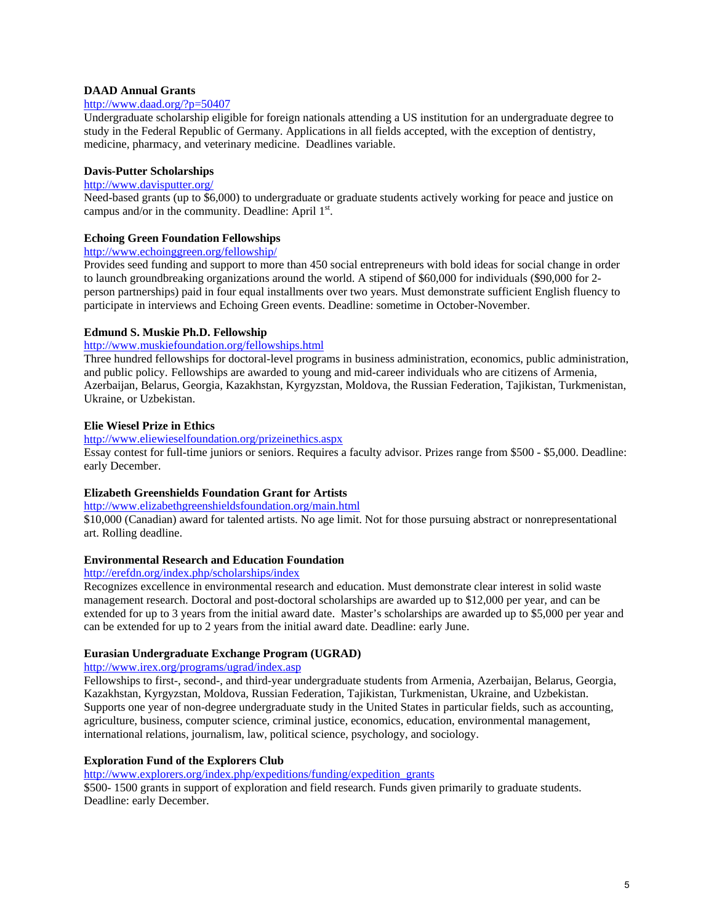## **DAAD Annual Grants**

### <http://www.daad.org/?p=50407>

Undergraduate scholarship eligible for foreign nationals attending a US institution for an undergraduate degree to study in the Federal Republic of Germany. Applications in all fields accepted, with the exception of dentistry, medicine, pharmacy, and veterinary medicine. Deadlines variable.

## **Davis-Putter Scholarships**

### <http://www.davisputter.org/>

Need-based grants (up to \$6,000) to undergraduate or graduate students actively working for peace and justice on campus and/or in the community. Deadline: April  $1<sup>st</sup>$ .

## **Echoing Green Foundation Fellowships**

# http://www.echoinggreen.org/fellowship/

Provides seed funding and support to more than 450 social entrepreneurs with bold ideas for social change in order to launch groundbreaking organizations around the world. A stipend of \$60,000 for individuals (\$90,000 for 2 person partnerships) paid in four equal installments over two years. Must demonstrate sufficient English fluency to participate in interviews and Echoing Green events. Deadline: sometime in October-November.

### **Edmund S. Muskie Ph.D. Fellowship**

# <http://www.muskiefoundation.org/fellowships.html>

Three hundred fellowships for doctoral-level programs in business administration, economics, public administration, and public policy. Fellowships are awarded to young and mid-career individuals who are citizens of Armenia, Azerbaijan, Belarus, Georgia, Kazakhstan, Kyrgyzstan, Moldova, the Russian Federation, Tajikistan, Turkmenistan, Ukraine, or Uzbekistan.

## **Elie Wiesel Prize in Ethics**

## <http://www.eliewieselfoundation.org/prizeinethics.aspx>

Essay contest for full-time juniors or seniors. Requires a faculty advisor. Prizes range from \$500 - \$5,000. Deadline: early December.

## **Elizabeth Greenshields Foundation Grant for Artists**

### <http://www.elizabethgreenshieldsfoundation.org/main.html>

\$10,000 (Canadian) award for talented artists. No age limit. Not for those pursuing abstract or nonrepresentational art. Rolling deadline.

### **Environmental Research and Education Foundation**

## <http://erefdn.org/index.php/scholarships/index>

Recognizes excellence in environmental research and education. Must demonstrate clear interest in solid waste management research. Doctoral and post-doctoral scholarships are awarded up to \$12,000 per year, and can be extended for up to 3 years from the initial award date. Master's scholarships are awarded up to \$5,000 per year and can be extended for up to 2 years from the initial award date. Deadline: early June.

## **Eurasian Undergraduate Exchange Program (UGRAD)**

# <http://www.irex.org/programs/ugrad/index.asp>

Fellowships to first-, second-, and third-year undergraduate students from Armenia, Azerbaijan, Belarus, Georgia, Kazakhstan, Kyrgyzstan, Moldova, Russian Federation, Tajikistan, Turkmenistan, Ukraine, and Uzbekistan. Supports one year of non-degree undergraduate study in the United States in particular fields, such as accounting, agriculture, business, computer science, criminal justice, economics, education, environmental management, international relations, journalism, law, political science, psychology, and sociology.

## **Exploration Fund of the Explorers Club**

[http://www.explorers.org/index.php/expeditions/funding/expedition\\_grants](http://www.explorers.org/index.php/expeditions/funding/expedition_grants)

\$500- 1500 grants in support of exploration and field research. Funds given primarily to graduate students. Deadline: early December.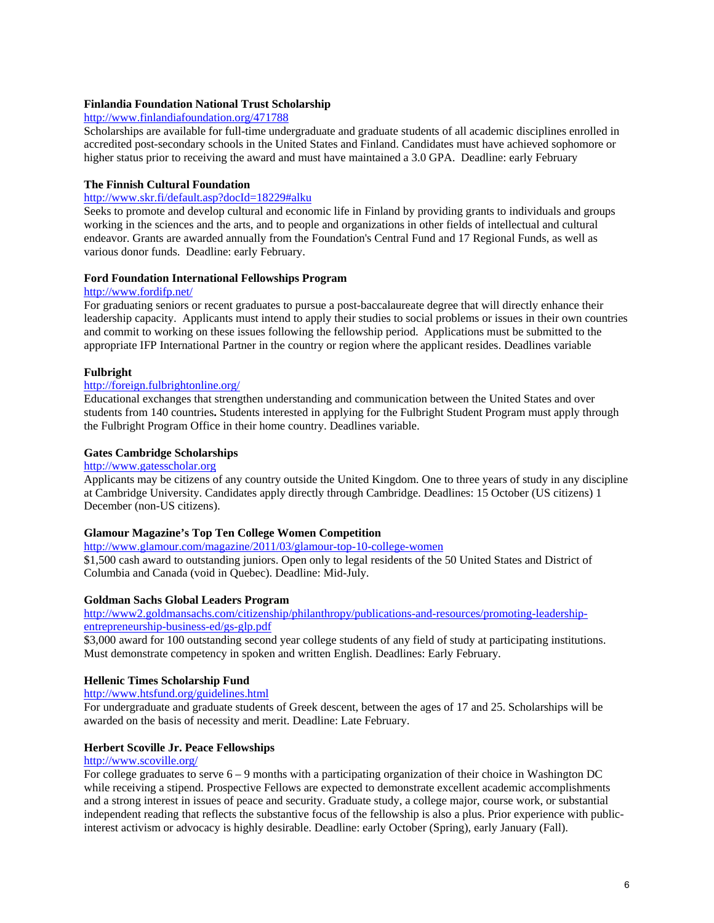## **[Finlandia](http://www.finlandiafoundation.org/) [Foundation](http://www.finlandiafoundation.org/) [National](http://www.finlandiafoundation.org/) [Trust](http://www.finlandiafoundation.org/) [Scholarship](http://www.finlandiafoundation.org/)**

# <http://www.finlandiafoundation.org/471788>

Scholarships are available for full-time undergraduate and graduate students of all academic disciplines enrolled in accredited post-secondary schools in the United States and Finland. Candidates must have achieved sophomore or higher status prior to receiving the award and must have maintained a 3.0 GPA. Deadline: early February

## **[The](http://www.skr.fi/default.asp?docId=12966) [Finnish](http://www.skr.fi/default.asp?docId=12966) [Cultural](http://www.skr.fi/default.asp?docId=12966) [Foundation](http://www.skr.fi/default.asp?docId=12966)**

### <http://www.skr.fi/default.asp?docId=18229#alku>

Seeks to promote and develop cultural and economic life in Finland by providing grants to individuals and groups working in the sciences and the arts, and to people and organizations in other fields of intellectual and cultural endeavor. Grants are awarded annually from the Foundation's Central Fund and 17 Regional Funds, as well as various donor funds. Deadline: early February.

### **[Ford](http://www.fordifp.net/) [Foundation](http://www.fordifp.net/) [International](http://www.fordifp.net/) [Fellowships](http://www.fordifp.net/) [Program](http://www.fordifp.net/)**

## <http://www.fordifp.net/>

For graduating seniors or recent graduates to pursue a post-baccalaureate degree that will directly enhance their leadership capacity. Applicants must intend to apply their studies to social problems or issues in their own countries and commit to working on these issues following the fellowship period. Applications must be submitted to the appropriate IFP International Partner in the country or region where the applicant resides. Deadlines variable

## **Fulbright**

## <http://foreign.fulbrightonline.org/>

Educational exchanges that strengthen understanding and communication between the United States and over students from 140 countries**.** Students interested in applying for the Fulbright Student Program must apply through the Fulbright Program Office in their home country. Deadlines variable.

## **Gates Cambridge Scholarships**

## http://www.gatesscholar.org

Applicants may be citizens of any country outside the United Kingdom. One to three years of study in any discipline at Cambridge University. Candidates apply directly through Cambridge. Deadlines: 15 October (US citizens) 1 December (non-US citizens).

### **Glamour Magazine's Top Ten College Women Competition**

<http://www.glamour.com/magazine/2011/03/glamour-top-10-college-women> \$1,500 cash award to outstanding juniors. Open only to legal residents of the 50 United States and District of Columbia and Canada (void in Quebec). Deadline: Mid-July.

### **Goldman Sachs Global Leaders Program**

[http://www2.goldmansachs.com/citizenship/philanthropy/publications-and-resources/promoting-leadership](http://www2.goldmansachs.com/citizenship/philanthropy/publications-and-resources/promoting-leadership-entrepreneurship-business-ed/gs-glp.pdf)[entrepreneurship-business-ed/gs-glp.pdf](http://www2.goldmansachs.com/citizenship/philanthropy/publications-and-resources/promoting-leadership-entrepreneurship-business-ed/gs-glp.pdf)

\$3,000 award for 100 outstanding second year college students of any field of study at participating institutions. Must demonstrate competency in spoken and written English. Deadlines: Early February.

## **Hellenic Times Scholarship Fund**

### <http://www.htsfund.org/guidelines.html>

For undergraduate and graduate students of Greek descent, between the ages of 17 and 25. Scholarships will be awarded on the basis of necessity and merit. Deadline: Late February.

## **Herbert Scoville Jr. Peace Fellowships**

### <http://www.scoville.org/>

For college graduates to serve 6 – 9 months with a participating organization of their choice in Washington DC while receiving a stipend. Prospective Fellows are expected to demonstrate excellent academic accomplishments and a strong interest in issues of peace and security. Graduate study, a college major, course work, or substantial independent reading that reflects the substantive focus of the fellowship is also a plus. Prior experience with publicinterest activism or advocacy is highly desirable. Deadline: early October (Spring), early January (Fall).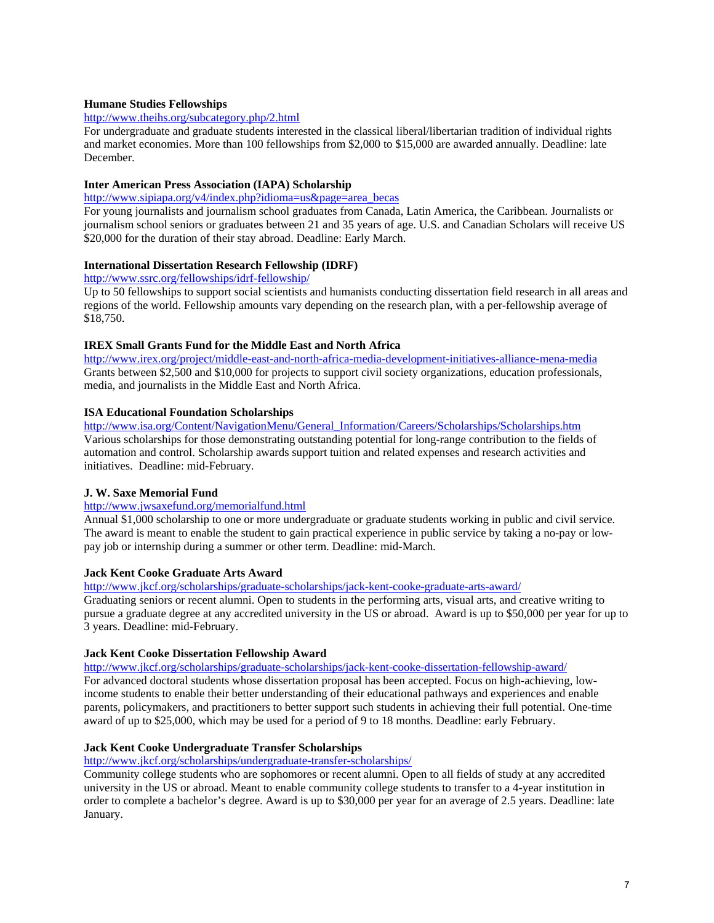## **Humane Studies Fellowships**

## <http://www.theihs.org/subcategory.php/2.html>

For undergraduate and graduate students interested in the classical liberal/libertarian tradition of individual rights and market economies. More than 100 fellowships from \$2,000 to \$15,000 are awarded annually. Deadline: late December.

## **Inter American Press Association (IAPA) Scholarship**

[http://www.sipiapa.org/v4/index.php?idioma=us&page=area\\_becas](http://www.sipiapa.org/v4/index.php?idioma=us&page=area_becas)

For young journalists and journalism school graduates from Canada, Latin America, the Caribbean. Journalists or journalism school seniors or graduates between 21 and 35 years of age. U.S. and Canadian Scholars will receive US \$20,000 for the duration of their stay abroad. Deadline: Early March.

## **International Dissertation Research Fellowship (IDRF)**

<http://www.ssrc.org/fellowships/idrf-fellowship/>

Up to 50 fellowships to support social scientists and humanists conducting dissertation field research in all areas and regions of the world. Fellowship amounts vary depending on the research plan, with a per-fellowship average of \$18,750.

# **IREX Small Grants Fund for the Middle East and North Africa**

<http://www.irex.org/project/middle-east-and-north-africa-media-development-initiatives-alliance-mena-media> Grants between \$2,500 and \$10,000 for projects to support civil society organizations, education professionals, media, and journalists in the Middle East and North Africa.

# **ISA Educational Foundation Scholarships**

[http://www.isa.org/Content/NavigationMenu/General\\_Information/Careers/Scholarships/Scholarships.htm](http://www.isa.org/Content/NavigationMenu/General_Information/Careers/Scholarships/Scholarships.htm) Various scholarships for those demonstrating outstanding potential for long-range contribution to the fields of automation and control. Scholarship awards support tuition and related expenses and research activities and initiatives. Deadline: mid-February.

## **J. W. Saxe Memorial Fund**

# <http://www.jwsaxefund.org/memorialfund.html>

Annual \$1,000 scholarship to one or more undergraduate or graduate students working in public and civil service. The award is meant to enable the student to gain practical experience in public service by taking a no-pay or lowpay job or internship during a summer or other term. Deadline: mid-March.

## **Jack Kent Cooke Graduate Arts Award**

<http://www.jkcf.org/scholarships/graduate-scholarships/jack-kent-cooke-graduate-arts-award/>

Graduating seniors or recent alumni. Open to students in the performing arts, visual arts, and creative writing to pursue a graduate degree at any accredited university in the US or abroad. Award is up to \$50,000 per year for up to 3 years. Deadline: mid-February.

## **Jack Kent Cooke Dissertation Fellowship Award**

<http://www.jkcf.org/scholarships/graduate-scholarships/jack-kent-cooke-dissertation-fellowship-award/> For advanced doctoral students whose dissertation proposal has been accepted. Focus on high-achieving, lowincome students to enable their better understanding of their educational pathways and experiences and enable parents, policymakers, and practitioners to better support such students in achieving their full potential. One-time award of up to \$25,000, which may be used for a period of 9 to 18 months. Deadline: early February.

## **Jack Kent Cooke Undergraduate Transfer Scholarships**

<http://www.jkcf.org/scholarships/undergraduate-transfer-scholarships/>

Community college students who are sophomores or recent alumni. Open to all fields of study at any accredited university in the US or abroad. Meant to enable community college students to transfer to a 4-year institution in order to complete a bachelor's degree. Award is up to \$30,000 per year for an average of 2.5 years. Deadline: late January.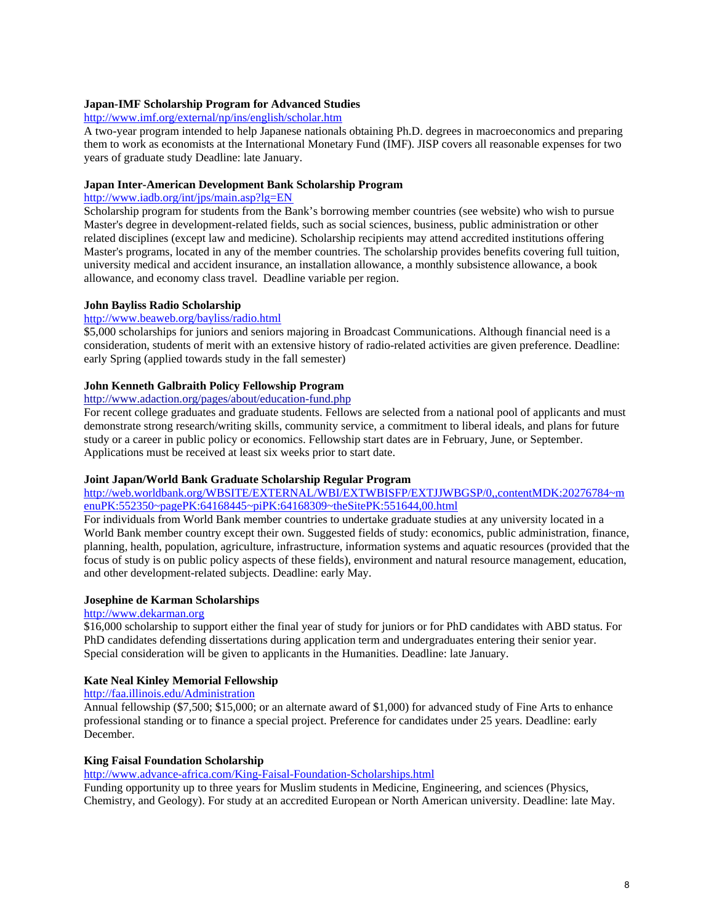## **Japan-IMF Scholarship Program for Advanced Studies**

## <http://www.imf.org/external/np/ins/english/scholar.htm>

A two-year program intended to help Japanese nationals obtaining Ph.D. degrees in macroeconomics and preparing them to work as economists at the International Monetary Fund (IMF). JISP covers all reasonable expenses for two years of graduate study Deadline: late January.

## **Japan Inter-American Development Bank Scholarship Program**

## http://www.iadb.org/int/jps/main.asp?lg=EN

Scholarship program for students from the Bank's borrowing member countries (see website) who wish to pursue Master's degree in development-related fields, such as social sciences, business, public administration or other related disciplines (except law and medicine). Scholarship recipients may attend accredited institutions offering Master's programs, located in any of the member countries. The scholarship provides benefits covering full tuition, university medical and accident insurance, an installation allowance, a monthly subsistence allowance, a book allowance, and economy class travel. Deadline variable per region.

### **John Bayliss Radio Scholarship**

### <http://www.beaweb.org/bayliss/radio.html>

\$5,000 scholarships for juniors and seniors majoring in Broadcast Communications. Although financial need is a consideration, students of merit with an extensive history of radio-related activities are given preference. Deadline: early Spring (applied towards study in the fall semester)

## **[John](http://www.adaction.org/pages/about/education-fund.php) [Kenneth](http://www.adaction.org/pages/about/education-fund.php) [Galbraith](http://www.adaction.org/pages/about/education-fund.php) [Policy](http://www.adaction.org/pages/about/education-fund.php) [Fellowship](http://www.adaction.org/pages/about/education-fund.php) [Program](http://www.adaction.org/pages/about/education-fund.php)**

# <http://www.adaction.org/pages/about/education-fund.php>

For recent college graduates and graduate students. Fellows are selected from a national pool of applicants and must demonstrate strong research/writing skills, community service, a commitment to liberal ideals, and plans for future study or a career in public policy or economics. Fellowship start dates are in February, June, or September. Applications must be received at least six weeks prior to start date.

### **Joint Japan/World Bank Graduate Scholarship Regular Program**

## [http://web.worldbank.org/WBSITE/EXTERNAL/WBI/EXTWBISFP/EXTJJWBGSP/0,,contentMDK:20276784~m](http://web.worldbank.org/WBSITE/EXTERNAL/WBI/EXTWBISFP/EXTJJWBGSP/0,,contentMDK:20276784%7EmenuPK:552350%7EpagePK:64168445%7EpiPK:64168309%7EtheSitePK:551644,00.html) [enuPK:552350~pagePK:64168445~piPK:64168309~theSitePK:551644,00.html](http://web.worldbank.org/WBSITE/EXTERNAL/WBI/EXTWBISFP/EXTJJWBGSP/0,,contentMDK:20276784%7EmenuPK:552350%7EpagePK:64168445%7EpiPK:64168309%7EtheSitePK:551644,00.html)

For individuals from World Bank member countries to undertake graduate studies at any university located in a World Bank member country except their own. Suggested fields of study: economics, public administration, finance, planning, health, population, agriculture, infrastructure, information systems and aquatic resources (provided that the focus of study is on public policy aspects of these fields), environment and natural resource management, education, and other development-related subjects. Deadline: early May.

### **Josephine de Karman Scholarships**

# [http://www.dekarman.org](http://www.dekarman.org/)

\$16,000 scholarship to support either the final year of study for juniors or for PhD candidates with ABD status. For PhD candidates defending dissertations during application term and undergraduates entering their senior year. Special consideration will be given to applicants in the Humanities. Deadline: late January.

## **Kate Neal Kinley Memorial Fellowship**

## <http://faa.illinois.edu/Administration>

Annual fellowship (\$7,500; \$15,000; or an alternate award of \$1,000) for advanced study of Fine Arts to enhance professional standing or to finance a special project. Preference for candidates under 25 years. Deadline: early December.

### **King Faisal Foundation Scholarship**

<http://www.advance-africa.com/King-Faisal-Foundation-Scholarships.html>

Funding opportunity up to three years for Muslim students in Medicine, Engineering, and sciences (Physics, Chemistry, and Geology). For study at an accredited European or North American university. Deadline: late May.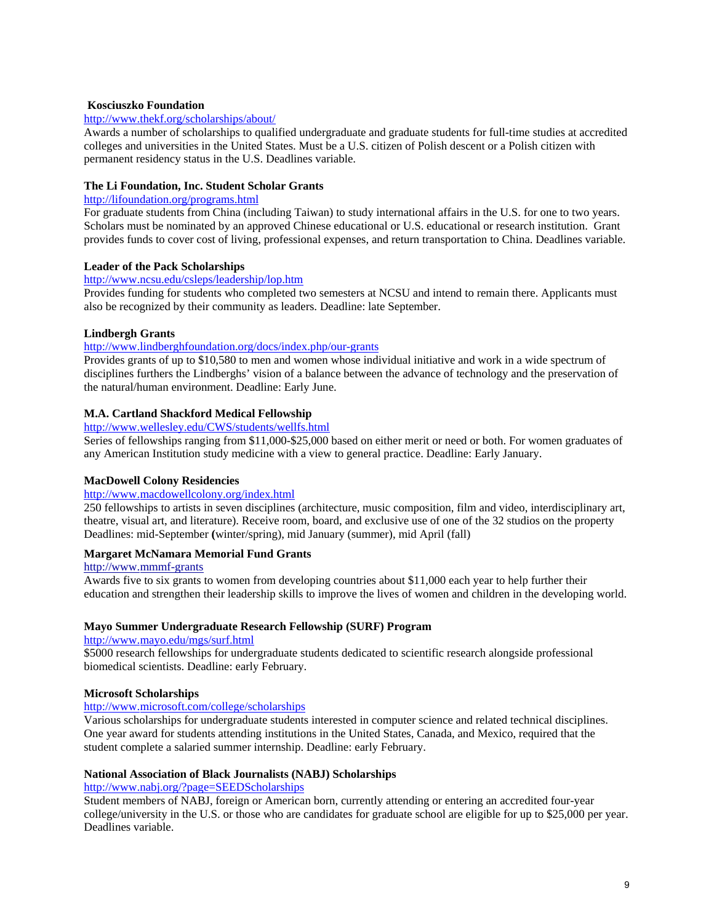## **[Kosciuszko](http://www.thekf.org/) [Foundation](http://www.thekf.org/)**

## <http://www.thekf.org/scholarships/about/>

Awards a number of scholarships to qualified undergraduate and graduate students for full-time studies at accredited colleges and universities in the United States. Must be a U.S. citizen of Polish descent or a Polish citizen with permanent residency status in the U.S. Deadlines variable.

## **The Li Foundation, Inc. Student Scholar Grants**

# <http://lifoundation.org/programs.html>

For graduate students from China (including Taiwan) to study international affairs in the U.S. for one to two years. Scholars must be nominated by an approved Chinese educational or U.S. educational or research institution. Grant provides funds to cover cost of living, professional expenses, and return transportation to China. Deadlines variable.

## **Leader of the Pack Scholarships**

### <http://www.ncsu.edu/csleps/leadership/lop.htm>

Provides funding for students who completed two semesters at NCSU and intend to remain there. Applicants must also be recognized by their community as leaders. Deadline: late September.

## **Lindbergh Grants**

## <http://www.lindberghfoundation.org/docs/index.php/our-grants>

Provides grants of up to \$10,580 to men and women whose individual initiative and work in a wide spectrum of disciplines furthers the Lindberghs' vision of a balance between the advance of technology and the preservation of the natural/human environment. Deadline: Early June.

## **M.A. Cartland Shackford Medical Fellowship**

## <http://www.wellesley.edu/CWS/students/wellfs.html>

Series of fellowships ranging from \$11,000-\$25,000 based on either merit or need or both. For women graduates of any American Institution study medicine with a view to general practice. Deadline: Early January.

## **MacDowell Colony Residencies**

## <http://www.macdowellcolony.org/index.html>

250 fellowships to artists in seven disciplines (architecture, music composition, film and video, interdisciplinary art, theatre, visual art, and literature). Receive room, board, and exclusive use of one of the 32 studios on the property Deadlines: mid-September **(**winter/spring), mid January (summer), mid April (fall)

### **Margaret McNamara Memorial Fund Grants**

### [http://www.mmmf-grants](http://www.mmmf-grants/)

Awards five to six grants to women from developing countries about \$11,000 each year to help further their education and strengthen their leadership skills to improve the lives of women and children in the developing world.

### **Mayo Summer Undergraduate Research Fellowship (SURF) Program**

### <http://www.mayo.edu/mgs/surf.html>

\$5000 research fellowships for undergraduate students dedicated to scientific research alongside professional biomedical scientists. Deadline: early February.

### **Microsoft Scholarships**

## <http://www.microsoft.com/college/scholarships>

Various scholarships for undergraduate students interested in computer science and related technical disciplines. One year award for students attending institutions in the United States, Canada, and Mexico, required that the student complete a salaried summer internship. Deadline: early February.

### **National Association of Black Journalists (NABJ) Scholarships**

## <http://www.nabj.org/?page=SEEDScholarships>

Student members of NABJ, foreign or American born, currently attending or entering an accredited four-year college/university in the U.S. or those who are candidates for graduate school are eligible for up to \$25,000 per year. Deadlines variable.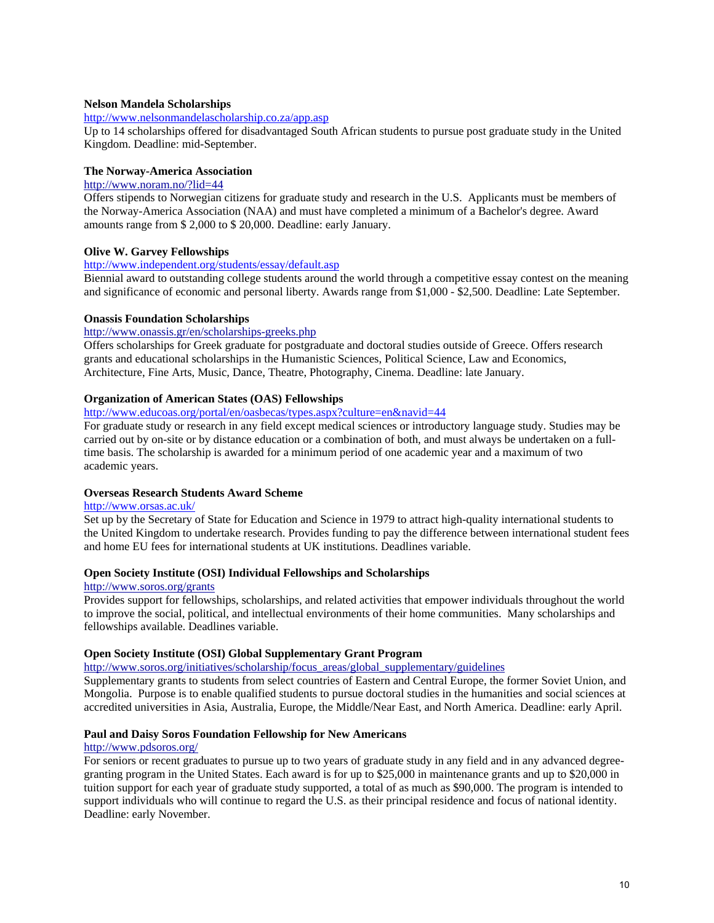### **Nelson Mandela Scholarships**

<http://www.nelsonmandelascholarship.co.za/app.asp>

Up to 14 scholarships offered for disadvantaged South African students to pursue post graduate study in the United Kingdom. Deadline: mid-September.

## **[The](http://www.noram.no/?lid=44) [Norway-America](http://www.noram.no/?lid=44) [Association](http://www.noram.no/?lid=44)**

## <http://www.noram.no/?lid=44>

Offers stipends to Norwegian citizens for graduate study and research in the U.S. Applicants must be members of the Norway-America Association (NAA) and must have completed a minimum of a Bachelor's degree. Award amounts range from \$ 2,000 to \$ 20,000. Deadline: early January.

## **Olive W. Garvey Fellowships**

### <http://www.independent.org/students/essay/default.asp>

Biennial award to outstanding college students around the world through a competitive essay contest on the meaning and significance of economic and personal liberty. Awards range from \$1,000 - \$2,500. Deadline: Late September.

### **[Onassis](http://www.onassis.gr/sectpage.php?lang=en&secID=3&subID=4&sub2ID=2) [Foundation](http://www.onassis.gr/sectpage.php?lang=en&secID=3&subID=4&sub2ID=2) [Scholarships](http://www.onassis.gr/sectpage.php?lang=en&secID=3&subID=4&sub2ID=2)**

## <http://www.onassis.gr/en/scholarships-greeks.php>

Offers scholarships for Greek graduate for postgraduate and doctoral studies outside of Greece. Offers research grants and educational scholarships in the Humanistic Sciences, Political Science, Law and Economics, Architecture, Fine Arts, Music, Dance, Theatre, Photography, Cinema. Deadline: late January.

## **Organization of American States (OAS) Fellowships**

<http://www.educoas.org/portal/en/oasbecas/types.aspx?culture=en&navid=44>

For graduate study or research in any field except medical sciences or introductory language study. Studies may be carried out by on-site or by distance education or a combination of both, and must always be undertaken on a fulltime basis. The scholarship is awarded for a minimum period of one academic year and a maximum of two academic years.

### **Overseas Research Students Award Scheme**

### <http://www.orsas.ac.uk/>

[Set](http://www.orsas.ac.uk/) [up](http://www.orsas.ac.uk/) [by](http://www.orsas.ac.uk/) [the](http://www.orsas.ac.uk/) [Secretary](http://www.orsas.ac.uk/) [of](http://www.orsas.ac.uk/) [State](http://www.orsas.ac.uk/) [for](http://www.orsas.ac.uk/) [Education](http://www.orsas.ac.uk/) [and](http://www.orsas.ac.uk/) [Science](http://www.orsas.ac.uk/) [in 1979 to](http://www.orsas.ac.uk/) [attract](http://www.orsas.ac.uk/) [high-quality](http://www.orsas.ac.uk/) [international](http://www.orsas.ac.uk/) [students](http://www.orsas.ac.uk/) [to](http://www.orsas.ac.uk/) [the](http://www.orsas.ac.uk/) [United](http://www.orsas.ac.uk/) [Kingdom](http://www.orsas.ac.uk/) [to](http://www.orsas.ac.uk/) [undertake](http://www.orsas.ac.uk/) [research.](http://www.orsas.ac.uk/) Provides funding to pay the difference between international student fees and home EU fees for international students at UK institutions. Deadlines variable.

### **[Open](http://www.soros.org/initiatives/scholarship) [Society](http://www.soros.org/initiatives/scholarship) [Institute \(OSI\) Individual](http://www.soros.org/initiatives/scholarship) [Fellowships](http://www.soros.org/initiatives/scholarship) [and](http://www.soros.org/initiatives/scholarship) [Scholarships](http://www.soros.org/initiatives/scholarship)**

### <http://www.soros.org/grants>

Provides support for fellowships, scholarships, and related activities that empower individuals throughout the world to improve the social, political, and intellectual environments of their home communities. Many scholarships and fellowships available. Deadlines variable.

### **[Open](http://www.soros.org/initiatives/scholarship/focus_areas/global_supplementary/) [Society](http://www.soros.org/initiatives/scholarship/focus_areas/global_supplementary/) [Institute \(OSI\) Global](http://www.soros.org/initiatives/scholarship/focus_areas/global_supplementary/) [Supplementary](http://www.soros.org/initiatives/scholarship/focus_areas/global_supplementary/) [Grant](http://www.soros.org/initiatives/scholarship/focus_areas/global_supplementary/) [Program](http://www.soros.org/initiatives/scholarship/focus_areas/global_supplementary/)**

[http://www.soros.org/initiatives/scholarship/focus\\_areas/global\\_supplementary/guidelines](http://www.soros.org/initiatives/scholarship/focus_areas/global_supplementary/guidelines)

Supplementary grants to students from select countries of Eastern and Central Europe, the former Soviet Union, and Mongolia. Purpose is to enable qualified students to pursue doctoral studies in the humanities and social sciences at accredited universities in Asia, Australia, Europe, the Middle/Near East, and North America. Deadline: early April.

### **[Paul](http://www.pdsoros.org/) [and](http://www.pdsoros.org/) [Daisy](http://www.pdsoros.org/) [Soros](http://www.pdsoros.org/) [Foundation](http://www.pdsoros.org/) [Fellowship](http://www.pdsoros.org/) [for](http://www.pdsoros.org/) [New](http://www.pdsoros.org/) [Americans](http://www.pdsoros.org/)**

### <http://www.pdsoros.org/>

For seniors or recent graduates to pursue up to two years of graduate study in any field and in any advanced degreegranting program in the United States. Each award is for up to \$25,000 in maintenance grants and up to \$20,000 in tuition support for each year of graduate study supported, a total of as much as \$90,000. The program is intended to support individuals who will continue to regard the U.S. as their principal residence and focus of national identity. Deadline: early November.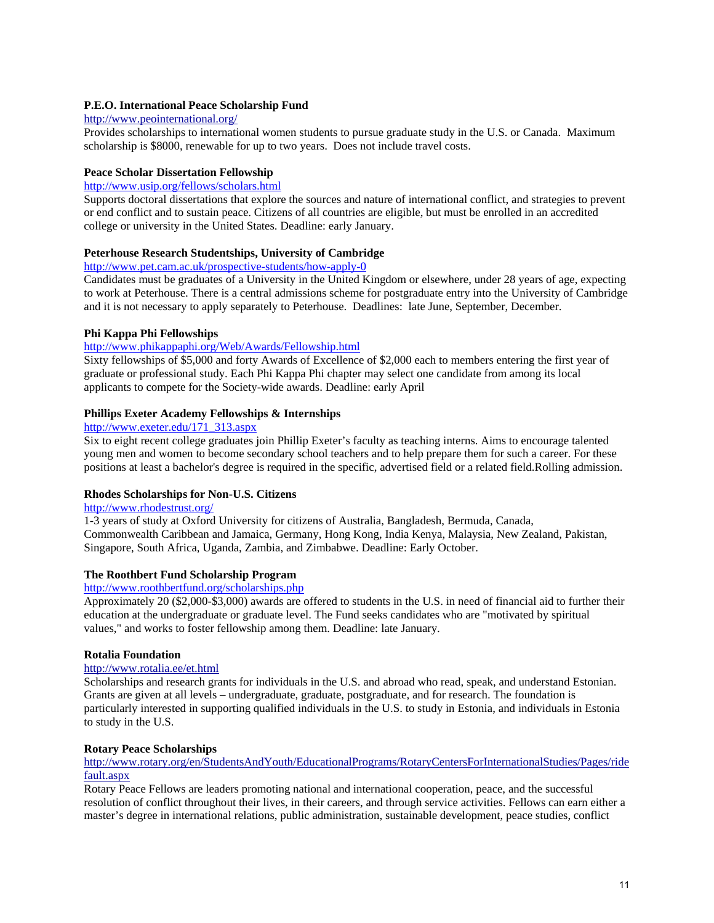## **[P.E.O. International](http://www.peointernational.org/) [Peace](http://www.peointernational.org/) [Scholarship](http://www.peointernational.org/) [Fund](http://www.peointernational.org/)**

## <http://www.peointernational.org/>

Provides scholarships to international women students to pursue graduate study in the U.S. or Canada. Maximum scholarship is \$8000, renewable for up to two years. Does not include travel costs.

## **Peace Scholar Dissertation Fellowship**

<http://www.usip.org/fellows/scholars.html>

Supports doctoral dissertations that explore the sources and nature of international conflict, and strategies to prevent or end conflict and to sustain peace. Citizens of all countries are eligible, but must be enrolled in an accredited college or university in the United States. Deadline: early January.

# **Peterhouse Research Studentships, University of Cambridge**

## <http://www.pet.cam.ac.uk/prospective-students/how-apply-0>

Candidates must be graduates of a University in the United Kingdom or elsewhere, under 28 years of age, expecting to work at Peterhouse. There is a central admissions scheme for postgraduate entry into the University of Cambridge and it is not necessary to apply separately to Peterhouse. Deadlines: late June, September, December.

## **Phi Kappa Phi Fellowships**

# <http://www.phikappaphi.org/Web/Awards/Fellowship.html>

Sixty fellowships of \$5,000 and forty Awards of Excellence of \$2,000 each to members entering the first year of graduate or professional study. Each Phi Kappa Phi chapter may select one candidate from among its local applicants to compete for the Society-wide awards. Deadline: early April

## **Phillips Exeter Academy Fellowships & Internships**

### [http://www.exeter.edu/171\\_313.aspx](http://www.exeter.edu/171_313.aspx)

Six to eight recent college graduates join Phillip Exeter's faculty as teaching interns. Aims to encourage talented young men and women to become secondary school teachers and to help prepare them for such a career. For these positions at least a bachelor's degree is required in the specific, advertised field or a related field.Rolling admission.

### **Rhodes Scholarships for Non-U.S. Citizens**

#### <http://www.rhodestrust.org/>

1-3 years of study at Oxford University for citizens of Australia, Bangladesh, Bermuda, Canada, Commonwealth Caribbean and Jamaica, Germany, Hong Kong, India Kenya, Malaysia, New Zealand, Pakistan, Singapore, South Africa, Uganda, Zambia, and Zimbabwe. Deadline: Early October.

### **The Roothbert Fund Scholarship Program**

#### <http://www.roothbertfund.org/scholarships.php>

Approximately 20 (\$2,000-\$3,000) awards are offered to students in the U.S. in need of financial aid to further their education at the undergraduate or graduate level. The Fund seeks candidates who are "motivated by spiritual values," and works to foster fellowship among them. Deadline: late January.

### **[Rotalia](http://www.rotalia.ee/) [Foundation](http://www.rotalia.ee/)**

# <http://www.rotalia.ee/et.html>

Scholarships and research grants for individuals in the U.S. and abroad who read, speak, and understand Estonian. Grants are given at all levels – undergraduate, graduate, postgraduate, and for research. The foundation is particularly interested in supporting qualified individuals in the U.S. to study in Estonia, and individuals in Estonia to study in the U.S.

### **[Rotary](http://www.rotary.org/en/StudentsAndYouth/EducationalPrograms/RotaryCentersForInternationalStudies/Pages/ridefault.aspx) [Peace](http://www.rotary.org/en/StudentsAndYouth/EducationalPrograms/RotaryCentersForInternationalStudies/Pages/ridefault.aspx) [Scholarships](http://www.rotary.org/en/StudentsAndYouth/EducationalPrograms/RotaryCentersForInternationalStudies/Pages/ridefault.aspx)**

[http://www.rotary.org/en/StudentsAndYouth/EducationalPrograms/RotaryCentersForInternationalStudies/Pages/ride](http://www.rotary.org/en/StudentsAndYouth/EducationalPrograms/RotaryCentersForInternationalStudies/Pages/ridefault.aspx) [fault.aspx](http://www.rotary.org/en/StudentsAndYouth/EducationalPrograms/RotaryCentersForInternationalStudies/Pages/ridefault.aspx)

Rotary Peace Fellows are leaders promoting national and international cooperation, peace, and the successful resolution of conflict throughout their lives, in their careers, and through service activities. Fellows can earn either a master's degree in international relations, public administration, sustainable development, peace studies, conflict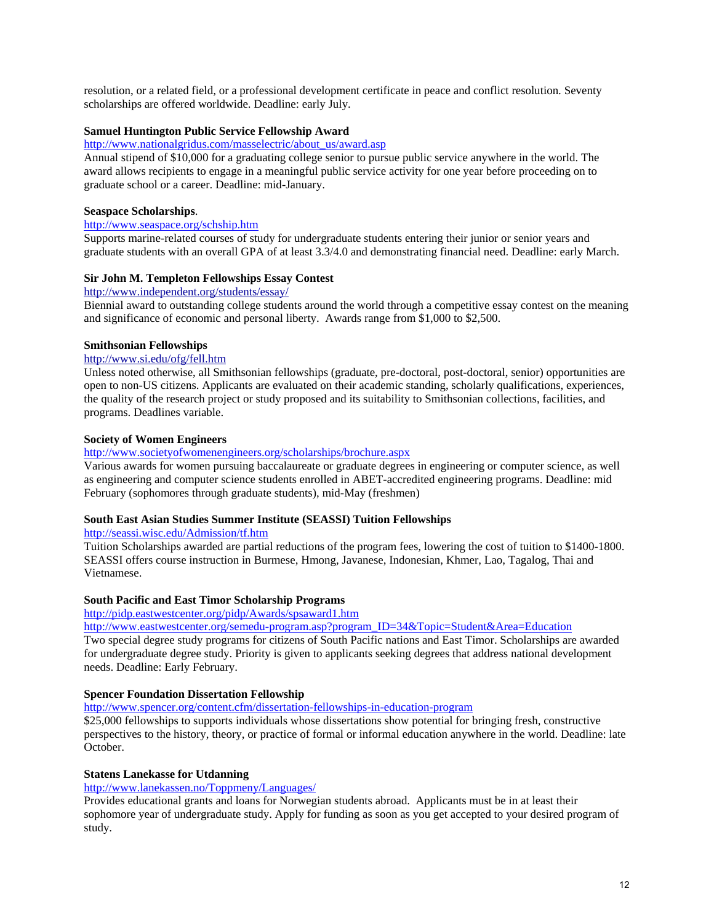resolution, or a related field, or a professional development certificate in peace and conflict resolution. Seventy scholarships are offered worldwide. Deadline: early July.

## **Samuel Huntington Public Service Fellowship Award**

[http://www.nationalgridus.com/masselectric/about\\_us/award.asp](http://www.nationalgridus.com/masselectric/about_us/award.asp)

Annual stipend of \$10,000 for a graduating college senior to pursue public service anywhere in the world. The award allows recipients to engage in a meaningful public service activity for one year before proceeding on to graduate school or a career. Deadline: mid-January.

### **Seaspace Scholarships**.

## <http://www.seaspace.org/schship.htm>

Supports marine-related courses of study for undergraduate students entering their junior or senior years and graduate students with an overall GPA of at least 3.3/4.0 and demonstrating financial need. Deadline: early March.

## **[Sir](http://www.independent.org/students/essay/) [John](http://www.independent.org/students/essay/) [M. Templeton](http://www.independent.org/students/essay/) [Fellowships](http://www.independent.org/students/essay/) [Essay](http://www.independent.org/students/essay/) [Contest](http://www.independent.org/students/essay/)**

## <http://www.independent.org/students/essay/>

Biennial award to outstanding college students around the world through a competitive essay contest on the meaning and significance of economic and personal liberty. Awards range from \$1,000 to \$2,500.

### **[Smithsonian](http://www.si.edu/ofg/fell.htm) [Fellowships](http://www.si.edu/ofg/fell.htm)**

### <http://www.si.edu/ofg/fell.htm>

Unless noted otherwise, all Smithsonian fellowships (graduate, pre-doctoral, post-doctoral, senior) opportunities are open to non-US citizens. Applicants are evaluated on their academic standing, scholarly qualifications, experiences, the quality of the research project or study proposed and its suitability to Smithsonian collections, facilities, and programs. Deadlines variable.

## **Society of Women Engineers**

#### <http://www.societyofwomenengineers.org/scholarships/brochure.aspx>

Various awards for women pursuing baccalaureate or graduate degrees in engineering or computer science, as well as engineering and computer science students enrolled in ABET-accredited engineering programs. Deadline: mid February (sophomores through graduate students), mid-May (freshmen)

## **South East Asian Studies Summer Institute (SEASSI) Tuition Fellowships**

<http://seassi.wisc.edu/Admission/tf.htm>

Tuition Scholarships awarded are partial reductions of the program fees, lowering the cost of tuition to \$1400-1800. SEASSI offers course instruction in Burmese, Hmong, Javanese, Indonesian, Khmer, Lao, Tagalog, Thai and Vietnamese.

### **South Pacific and East Timor Scholarship Programs**

<http://pidp.eastwestcenter.org/pidp/Awards/spsaward1.htm>

[http://www.eastwestcenter.org/semedu-program.asp?program\\_ID=34&Topic=Student&Area=Education](http://www.eastwestcenter.org/semedu-program.asp?program_ID=34&Topic=Student&Area=Education)

Two special degree study programs for citizens of South Pacific nations and East Timor. Scholarships are awarded for undergraduate degree study. Priority is given to applicants seeking degrees that address national development needs. Deadline: Early February.

## **Spencer Foundation Dissertation Fellowship**

<http://www.spencer.org/content.cfm/dissertation-fellowships-in-education-program>

\$25,000 fellowships to supports individuals whose dissertations show potential for bringing fresh, constructive perspectives to the history, theory, or practice of formal or informal education anywhere in the world. Deadline: late October.

### **[Statens](http://www.lanekassen.no/Toppmeny/Languages/) [Lanekasse](http://www.lanekassen.no/Toppmeny/Languages/) [for](http://www.lanekassen.no/Toppmeny/Languages/) [Utdanning](http://www.lanekassen.no/Toppmeny/Languages/)**

## http://www.lanekassen.no/Toppmeny/Languages/

Provides educational grants and loans for Norwegian students abroad. Applicants must be in at least their sophomore year of undergraduate study. Apply for funding as soon as you get accepted to your desired program of study.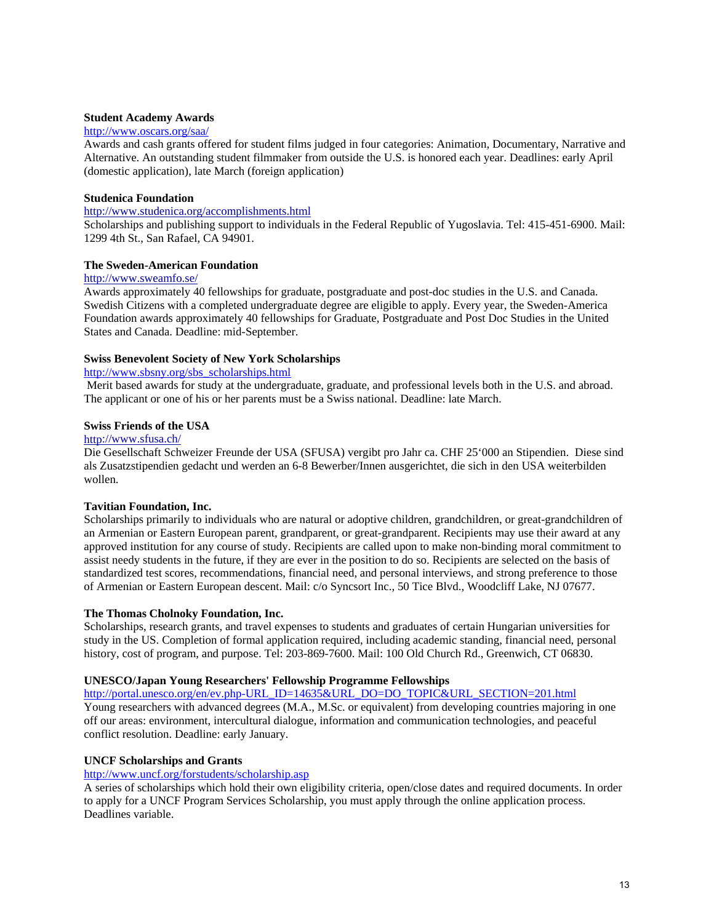### **Student Academy Awards**

### <http://www.oscars.org/saa/>

Awards and cash grants offered for student films judged in four categories: Animation, Documentary, Narrative and Alternative. An outstanding student filmmaker from outside the U.S. is honored each year. Deadlines: early April (domestic application), late March (foreign application)

### **[Studenica](http://www.studenica.org/accomplishments.html) [Foundation](http://www.studenica.org/accomplishments.html)**

## <http://www.studenica.org/accomplishments.html>

Scholarships and publishing support to individuals in the Federal Republic of Yugoslavia. Tel: 415-451-6900. Mail: 1299 4th St., San Rafael, CA 94901.

### **[The](http://www.sweamfo.se/) [Sweden-American](http://www.sweamfo.se/) [Foundation](http://www.sweamfo.se/)**

#### <http://www.sweamfo.se/>

Awards approximately 40 fellowships for graduate, postgraduate and post-doc studies in the U.S. and Canada. Swedish Citizens with a completed undergraduate degree are eligible to apply. Every year, the Sweden-America Foundation awards approximately 40 fellowships for Graduate, Postgraduate and Post Doc Studies in the United States and Canada. Deadline: mid-September.

## **Swiss Benevolent Society of New York Scholarships**

# [http://www.sbsny.org/sbs\\_scholarships.html](http://www.sbsny.org/sbs_scholarships.html)

 Merit based awards for study at the undergraduate, graduate, and professional levels both in the U.S. and abroad. The applicant or one of his or her parents must be a Swiss national. Deadline: late March.

### **[Swiss](http://www.sfusa.ch/) [Friends](http://www.sfusa.ch/) [of](http://www.sfusa.ch/) [the](http://www.sfusa.ch/) [USA](http://www.sfusa.ch/)**

#### <http://www.sfusa.ch/>

Die Gesellschaft Schweizer Freunde der USA (SFUSA) vergibt pro Jahr ca. CHF 25'000 an Stipendien. Diese sind als Zusatzstipendien gedacht und werden an 6-8 Bewerber/Innen ausgerichtet, die sich in den USA weiterbilden wollen.

### **Tavitian Foundation, Inc.**

Scholarships primarily to individuals who are natural or adoptive children, grandchildren, or great-grandchildren of an Armenian or Eastern European parent, grandparent, or great-grandparent. Recipients may use their award at any approved institution for any course of study. Recipients are called upon to make non-binding moral commitment to assist needy students in the future, if they are ever in the position to do so. Recipients are selected on the basis of standardized test scores, recommendations, financial need, and personal interviews, and strong preference to those of Armenian or Eastern European descent. Mail: c/o Syncsort Inc., 50 Tice Blvd., Woodcliff Lake, NJ 07677.

### **The Thomas Cholnoky Foundation, Inc.**

Scholarships, research grants, and travel expenses to students and graduates of certain Hungarian universities for study in the US. Completion of formal application required, including academic standing, financial need, personal history, cost of program, and purpose. Tel: 203-869-7600. Mail: 100 Old Church Rd., Greenwich, CT 06830.

### **UNESCO/Japan Young Researchers' Fellowship Programme Fellowships**

[http://portal.unesco.org/en/ev.php-URL\\_ID=14635&URL\\_DO=DO\\_TOPIC&URL\\_SECTION=201.html](http://portal.unesco.org/en/ev.php-URL_ID=14635&URL_DO=DO_TOPIC&URL_SECTION=201.html) Young researchers with advanced degrees (M.A., M.Sc. or equivalent) from developing countries majoring in one off our areas: environment, intercultural dialogue, information and communication technologies, and peaceful conflict resolution. Deadline: early January.

### **UNCF Scholarships and Grants**

### <http://www.uncf.org/forstudents/scholarship.asp>

A series of scholarships which hold their own eligibility criteria, open/close dates and required documents. In order to apply for a UNCF Program Services Scholarship, you must apply through the online application process. Deadlines variable.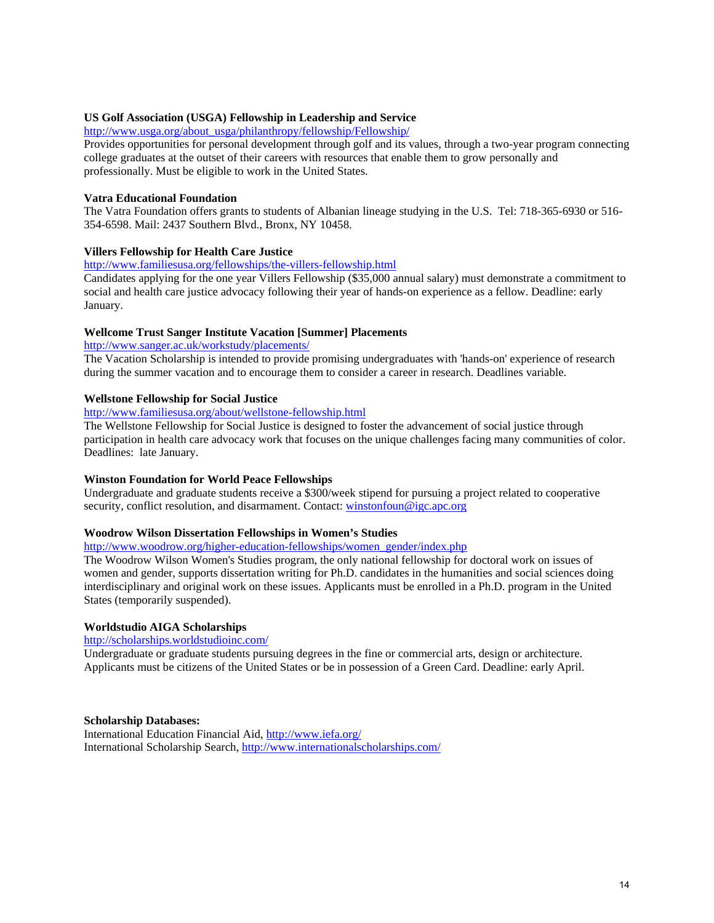## **US Golf Association (USGA) Fellowship in Leadership and Service**

[http://www.usga.org/about\\_usga/philanthropy/fellowship/Fellowship/](http://www.usga.org/about_usga/philanthropy/fellowship/Fellowship/)

Provides opportunities for personal development through golf and its values, through a two-year program connecting college graduates at the outset of their careers with resources that enable them to grow personally and professionally. Must be eligible to work in the United States.

## **Vatra Educational Foundation**

The Vatra Foundation offers grants to students of Albanian lineage studying in the U.S. Tel: 718-365-6930 or 516- 354-6598. Mail: 2437 Southern Blvd., Bronx, NY 10458.

## **Villers Fellowship for Health Care Justice**

### <http://www.familiesusa.org/fellowships/the-villers-fellowship.html>

Candidates applying for the one year Villers Fellowship (\$35,000 annual salary) must demonstrate a commitment to social and health care justice advocacy following their year of hands-on experience as a fellow. Deadline: early January.

### **Wellcome Trust Sanger Institute Vacation [Summer] Placements**

<http://www.sanger.ac.uk/workstudy/placements/>

The Vacation Scholarship is intended to provide promising undergraduates with 'hands-on' experience of research during the summer vacation and to encourage them to consider a career in research. Deadlines variable.

## **Wellstone Fellowship for Social Justice**

<http://www.familiesusa.org/about/wellstone-fellowship.html>

The Wellstone Fellowship for Social Justice is designed to foster the advancement of social justice through participation in health care advocacy work that focuses on the unique challenges facing many communities of color. Deadlines: late January.

### **Winston Foundation for World Peace Fellowships**

Undergraduate and graduate students receive a \$300/week stipend for pursuing a project related to cooperative security, conflict resolution, and disarmament. Contact: [winstonfoun@igc.apc.org](mailto:%20winstonfoun@igc.apc.org)

### **Woodrow Wilson Dissertation Fellowships in Women's Studies**

[http://www.woodrow.org/higher-education-fellowships/women\\_gender/index.php](http://www.woodrow.org/higher-education-fellowships/women_gender/index.php)

The Woodrow Wilson Women's Studies program, the only national fellowship for doctoral work on issues of women and gender, supports dissertation writing for Ph.D. candidates in the humanities and social sciences doing interdisciplinary and original work on these issues. Applicants must be enrolled in a Ph.D. program in the United States (temporarily suspended).

### **Worldstudio AIGA Scholarships**

<http://scholarships.worldstudioinc.com/>

Undergraduate or graduate students pursuing degrees in the fine or commercial arts, design or architecture. Applicants must be citizens of the United States or be in possession of a Green Card. Deadline: early April.

### **Scholarship Databases:**

[International](http://www.iefa.org/) [Education](http://www.iefa.org/) [Financial](http://www.iefa.org/) [Aid](http://www.iefa.org/),<http://www.iefa.org/> [International](http://www.internationalscholarships.com/) [Scholarship](http://www.internationalscholarships.com/) [Search,](http://www.internationalscholarships.com/) <http://www.internationalscholarships.com/>